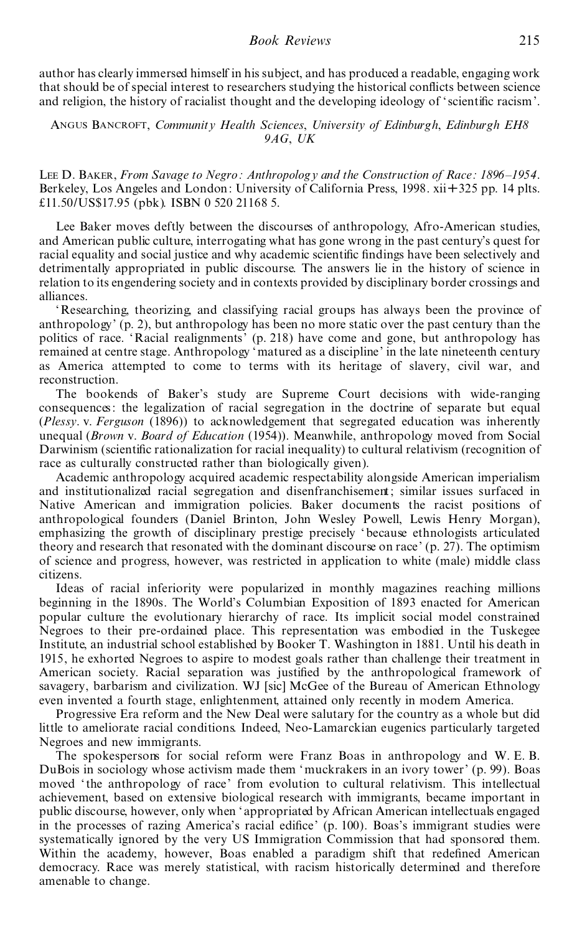## *Book Reviews* 215

author has clearly immersed himself in his subject, and has produced a readable, engaging work that should be of special interest to researchers studying the historical conflicts between science and religion, the history of racialist thought and the developing ideology of 'scientific racism'.

Angus Bancroft, *Community Health Sciences*, *University of Edinburgh*, *Edinburgh EH8 9AG*, *UK*

Lee D. Baker, *From Savage to Negro: Anthropology and the Construction of Race: 1896±1954*. Berkeley, Los Angeles and London: University of California Press, 1998. xii +325 pp. 14 plts. £11.50/US\$17.95 (pbk). ISBN 0 520 21168 5.

Lee Baker moves deftly between the discourses of anthropology, Afro-American studies, and American public culture, interrogating what has gone wrong in the past century's quest for racial equality and social justice and why academic scientific findings have been selectively and detrimentally appropriated in public discourse. The answers lie in the history of science in relation to its engendering society and in contexts provided by disciplinary border crossings and alliances.

`Researching, theorizing, and classifying racial groups has always been the province of anthropology' (p. 2), but anthropology has been no more static over the past century than the politics of race. `Racial realignments' (p. 218) have come and gone, but anthropology has remained at centre stage. Anthropology 'matured as a discipline' in the late nineteenth century as America attempted to come to terms with its heritage of slavery, civil war, and reconstruction.

The bookends of Baker's study are Supreme Court decisions with wide-ranging consequences: the legalization of racial segregation in the doctrine of separate but equal (*Plessy*. v. *Ferguson* (1896)) to acknowledgement that segregated education was inherently unequal (*Brown* v. *Board of Education* (1954)). Meanwhile, anthropology moved from Social Darwinism (scientific rationalization for racial inequality) to cultural relativism (recognition of race as culturally constructed rather than biologically given).

Academic anthropology acquired academic respectability alongside American imperialism and institutionalized racial segregation and disenfranchisement; similar issues surfaced in Native American and immigration policies. Baker documents the racist positions of anthropological founders (Daniel Brinton, John Wesley Powell, Lewis Henry Morgan), emphasizing the growth of disciplinary prestige precisely `because ethnologists articulated theory and research that resonated with the dominant discourse on race' (p. 27). The optimism of science and progress, however, was restricted in application to white (male) middle class citizens.

Ideas of racial inferiority were popularized in monthly magazines reaching millions beginning in the 1890s. The World's Columbian Exposition of 1893 enacted for American popular culture the evolutionary hierarchy of race. Its implicit social model constrained Negroes to their pre-ordained place. This representation was embodied in the Tuskegee Institute, an industrial school established by Booker T. Washington in 1881. Until his death in 1915, he exhorted Negroes to aspire to modest goals rather than challenge their treatment in American society. Racial separation was justified by the anthropological framework of savagery, barbarism and civilization. WJ [sic] McGee of the Bureau of American Ethnology even invented a fourth stage, enlightenment, attained only recently in modern America.

Progressive Era reform and the New Deal were salutary for the country as a whole but did little to ameliorate racial conditions. Indeed, Neo-Lamarckian eugenics particularly targeted Negroes and new immigrants.

The spokespersons for social reform were Franz Boas in anthropology and W. E. B. DuBois in sociology whose activism made them 'muckrakers in an ivory tower' (p. 99). Boas moved 'the anthropology of race' from evolution to cultural relativism. This intellectual achievement, based on extensive biological research with immigrants, became important in public discourse, however, only when `appropriated by African American intellectuals engaged in the processes of razing America's racial edifice'  $(p. 100)$ . Boas's immigrant studies were systematically ignored by the very US Immigration Commission that had sponsored them. Within the academy, however, Boas enabled a paradigm shift that redefined American democracy. Race was merely statistical, with racism historically determined and therefore amenable to change.